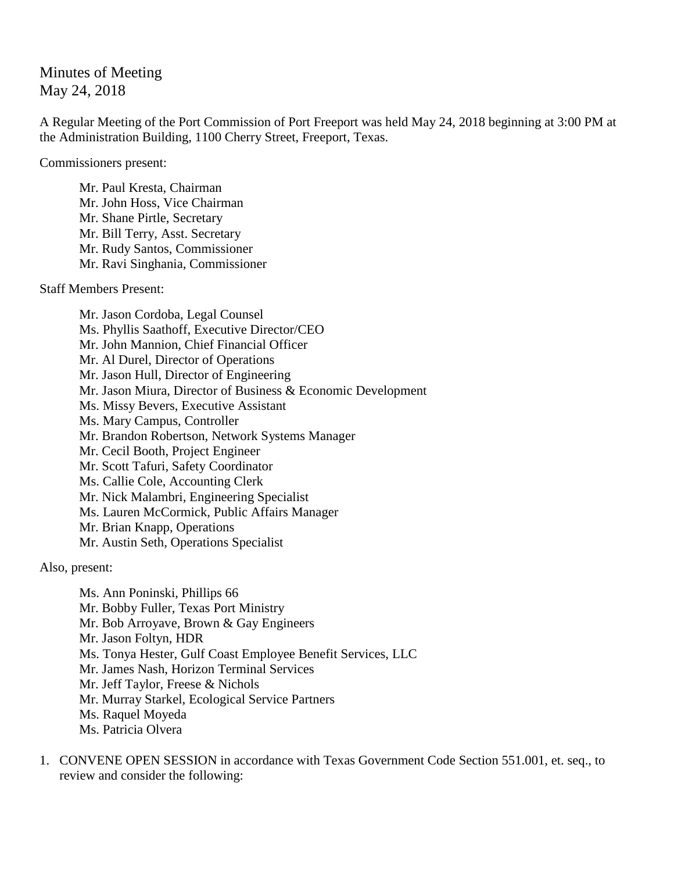## Minutes of Meeting May 24, 2018

A Regular Meeting of the Port Commission of Port Freeport was held May 24, 2018 beginning at 3:00 PM at the Administration Building, 1100 Cherry Street, Freeport, Texas.

Commissioners present:

Mr. Paul Kresta, Chairman Mr. John Hoss, Vice Chairman Mr. Shane Pirtle, Secretary Mr. Bill Terry, Asst. Secretary Mr. Rudy Santos, Commissioner Mr. Ravi Singhania, Commissioner

Staff Members Present:

Mr. Jason Cordoba, Legal Counsel Ms. Phyllis Saathoff, Executive Director/CEO Mr. John Mannion, Chief Financial Officer Mr. Al Durel, Director of Operations Mr. Jason Hull, Director of Engineering Mr. Jason Miura, Director of Business & Economic Development Ms. Missy Bevers, Executive Assistant Ms. Mary Campus, Controller Mr. Brandon Robertson, Network Systems Manager Mr. Cecil Booth, Project Engineer Mr. Scott Tafuri, Safety Coordinator Ms. Callie Cole, Accounting Clerk Mr. Nick Malambri, Engineering Specialist Ms. Lauren McCormick, Public Affairs Manager Mr. Brian Knapp, Operations Mr. Austin Seth, Operations Specialist

Also, present:

Ms. Ann Poninski, Phillips 66 Mr. Bobby Fuller, Texas Port Ministry Mr. Bob Arroyave, Brown & Gay Engineers Mr. Jason Foltyn, HDR Ms. Tonya Hester, Gulf Coast Employee Benefit Services, LLC Mr. James Nash, Horizon Terminal Services Mr. Jeff Taylor, Freese & Nichols Mr. Murray Starkel, Ecological Service Partners Ms. Raquel Moyeda Ms. Patricia Olvera

1. CONVENE OPEN SESSION in accordance with Texas Government Code Section 551.001, et. seq., to review and consider the following: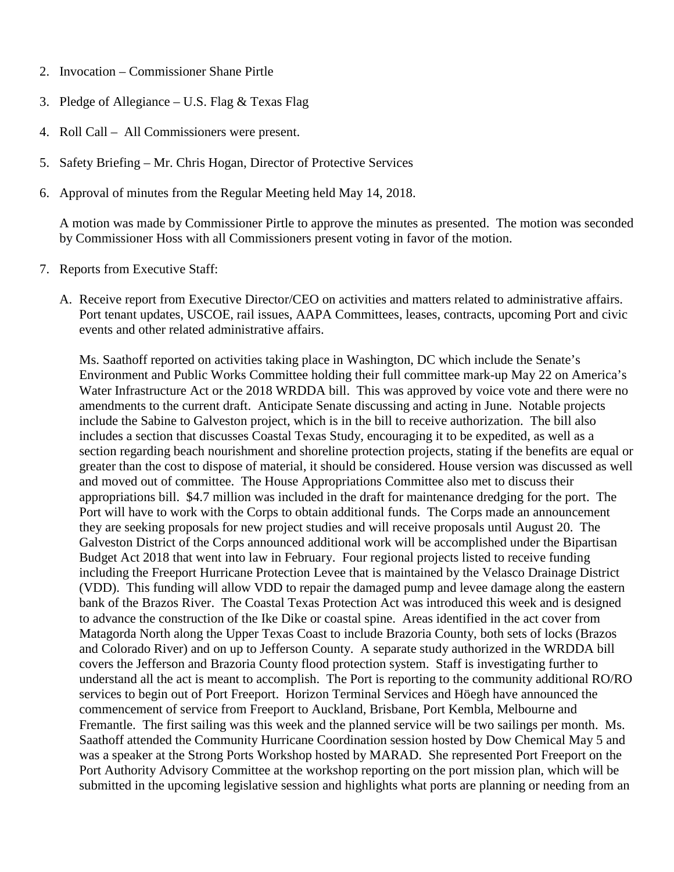- 2. Invocation Commissioner Shane Pirtle
- 3. Pledge of Allegiance U.S. Flag & Texas Flag
- 4. Roll Call All Commissioners were present.
- 5. Safety Briefing Mr. Chris Hogan, Director of Protective Services
- 6. Approval of minutes from the Regular Meeting held May 14, 2018.

A motion was made by Commissioner Pirtle to approve the minutes as presented. The motion was seconded by Commissioner Hoss with all Commissioners present voting in favor of the motion.

- 7. Reports from Executive Staff:
	- A. Receive report from Executive Director/CEO on activities and matters related to administrative affairs. Port tenant updates, USCOE, rail issues, AAPA Committees, leases, contracts, upcoming Port and civic events and other related administrative affairs.

Ms. Saathoff reported on activities taking place in Washington, DC which include the Senate's Environment and Public Works Committee holding their full committee mark-up May 22 on America's Water Infrastructure Act or the 2018 WRDDA bill. This was approved by voice vote and there were no amendments to the current draft. Anticipate Senate discussing and acting in June. Notable projects include the Sabine to Galveston project, which is in the bill to receive authorization. The bill also includes a section that discusses Coastal Texas Study, encouraging it to be expedited, as well as a section regarding beach nourishment and shoreline protection projects, stating if the benefits are equal or greater than the cost to dispose of material, it should be considered. House version was discussed as well and moved out of committee. The House Appropriations Committee also met to discuss their appropriations bill. \$4.7 million was included in the draft for maintenance dredging for the port. The Port will have to work with the Corps to obtain additional funds. The Corps made an announcement they are seeking proposals for new project studies and will receive proposals until August 20. The Galveston District of the Corps announced additional work will be accomplished under the Bipartisan Budget Act 2018 that went into law in February. Four regional projects listed to receive funding including the Freeport Hurricane Protection Levee that is maintained by the Velasco Drainage District (VDD). This funding will allow VDD to repair the damaged pump and levee damage along the eastern bank of the Brazos River. The Coastal Texas Protection Act was introduced this week and is designed to advance the construction of the Ike Dike or coastal spine. Areas identified in the act cover from Matagorda North along the Upper Texas Coast to include Brazoria County, both sets of locks (Brazos and Colorado River) and on up to Jefferson County. A separate study authorized in the WRDDA bill covers the Jefferson and Brazoria County flood protection system. Staff is investigating further to understand all the act is meant to accomplish. The Port is reporting to the community additional RO/RO services to begin out of Port Freeport. Horizon Terminal Services and Höegh have announced the commencement of service from Freeport to Auckland, Brisbane, Port Kembla, Melbourne and Fremantle. The first sailing was this week and the planned service will be two sailings per month. Ms. Saathoff attended the Community Hurricane Coordination session hosted by Dow Chemical May 5 and was a speaker at the Strong Ports Workshop hosted by MARAD. She represented Port Freeport on the Port Authority Advisory Committee at the workshop reporting on the port mission plan, which will be submitted in the upcoming legislative session and highlights what ports are planning or needing from an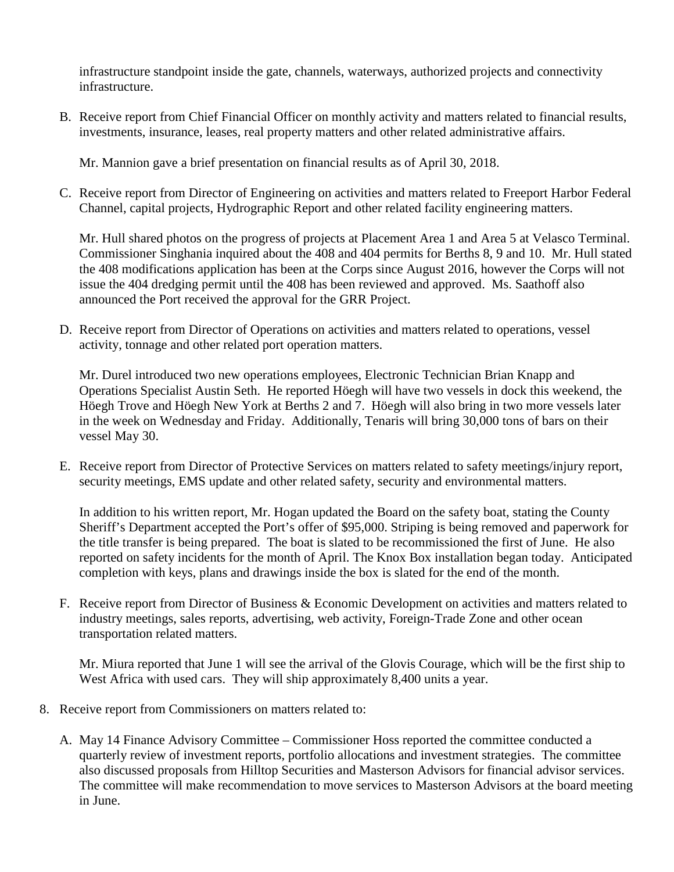infrastructure standpoint inside the gate, channels, waterways, authorized projects and connectivity infrastructure.

B. Receive report from Chief Financial Officer on monthly activity and matters related to financial results, investments, insurance, leases, real property matters and other related administrative affairs.

Mr. Mannion gave a brief presentation on financial results as of April 30, 2018.

C. Receive report from Director of Engineering on activities and matters related to Freeport Harbor Federal Channel, capital projects, Hydrographic Report and other related facility engineering matters.

Mr. Hull shared photos on the progress of projects at Placement Area 1 and Area 5 at Velasco Terminal. Commissioner Singhania inquired about the 408 and 404 permits for Berths 8, 9 and 10. Mr. Hull stated the 408 modifications application has been at the Corps since August 2016, however the Corps will not issue the 404 dredging permit until the 408 has been reviewed and approved. Ms. Saathoff also announced the Port received the approval for the GRR Project.

D. Receive report from Director of Operations on activities and matters related to operations, vessel activity, tonnage and other related port operation matters.

Mr. Durel introduced two new operations employees, Electronic Technician Brian Knapp and Operations Specialist Austin Seth. He reported Höegh will have two vessels in dock this weekend, the Höegh Trove and Höegh New York at Berths 2 and 7. Höegh will also bring in two more vessels later in the week on Wednesday and Friday. Additionally, Tenaris will bring 30,000 tons of bars on their vessel May 30.

E. Receive report from Director of Protective Services on matters related to safety meetings/injury report, security meetings, EMS update and other related safety, security and environmental matters.

In addition to his written report, Mr. Hogan updated the Board on the safety boat, stating the County Sheriff's Department accepted the Port's offer of \$95,000. Striping is being removed and paperwork for the title transfer is being prepared. The boat is slated to be recommissioned the first of June. He also reported on safety incidents for the month of April. The Knox Box installation began today. Anticipated completion with keys, plans and drawings inside the box is slated for the end of the month.

F. Receive report from Director of Business & Economic Development on activities and matters related to industry meetings, sales reports, advertising, web activity, Foreign-Trade Zone and other ocean transportation related matters.

Mr. Miura reported that June 1 will see the arrival of the Glovis Courage, which will be the first ship to West Africa with used cars. They will ship approximately 8,400 units a year.

- 8. Receive report from Commissioners on matters related to:
	- A. May 14 Finance Advisory Committee Commissioner Hoss reported the committee conducted a quarterly review of investment reports, portfolio allocations and investment strategies. The committee also discussed proposals from Hilltop Securities and Masterson Advisors for financial advisor services. The committee will make recommendation to move services to Masterson Advisors at the board meeting in June.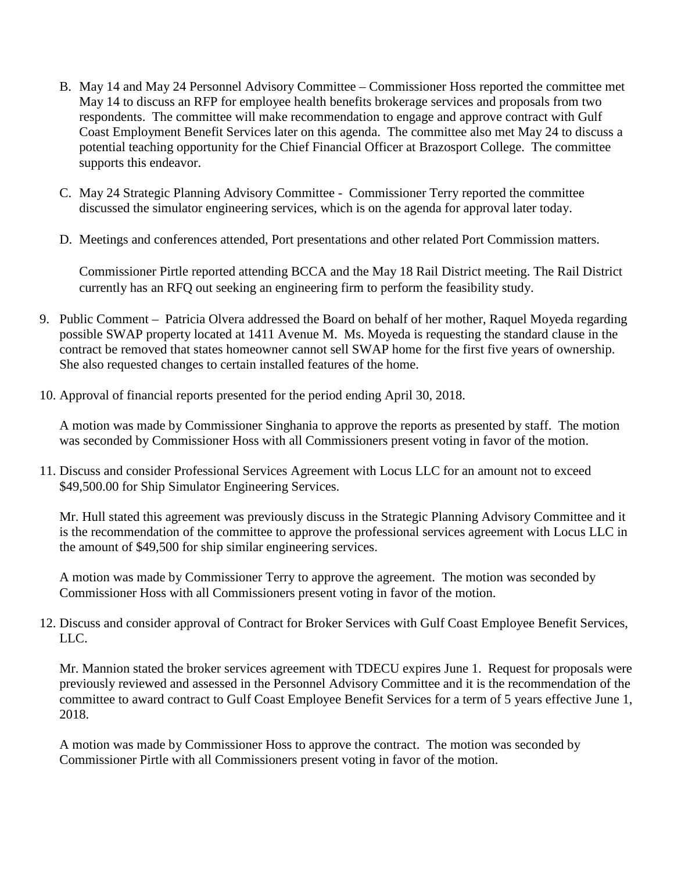- B. May 14 and May 24 Personnel Advisory Committee Commissioner Hoss reported the committee met May 14 to discuss an RFP for employee health benefits brokerage services and proposals from two respondents. The committee will make recommendation to engage and approve contract with Gulf Coast Employment Benefit Services later on this agenda. The committee also met May 24 to discuss a potential teaching opportunity for the Chief Financial Officer at Brazosport College. The committee supports this endeavor.
- C. May 24 Strategic Planning Advisory Committee Commissioner Terry reported the committee discussed the simulator engineering services, which is on the agenda for approval later today.
- D. Meetings and conferences attended, Port presentations and other related Port Commission matters.

Commissioner Pirtle reported attending BCCA and the May 18 Rail District meeting. The Rail District currently has an RFQ out seeking an engineering firm to perform the feasibility study.

- 9. Public Comment Patricia Olvera addressed the Board on behalf of her mother, Raquel Moyeda regarding possible SWAP property located at 1411 Avenue M. Ms. Moyeda is requesting the standard clause in the contract be removed that states homeowner cannot sell SWAP home for the first five years of ownership. She also requested changes to certain installed features of the home.
- 10. Approval of financial reports presented for the period ending April 30, 2018.

A motion was made by Commissioner Singhania to approve the reports as presented by staff. The motion was seconded by Commissioner Hoss with all Commissioners present voting in favor of the motion.

11. Discuss and consider Professional Services Agreement with Locus LLC for an amount not to exceed \$49,500.00 for Ship Simulator Engineering Services.

Mr. Hull stated this agreement was previously discuss in the Strategic Planning Advisory Committee and it is the recommendation of the committee to approve the professional services agreement with Locus LLC in the amount of \$49,500 for ship similar engineering services.

A motion was made by Commissioner Terry to approve the agreement. The motion was seconded by Commissioner Hoss with all Commissioners present voting in favor of the motion.

12. Discuss and consider approval of Contract for Broker Services with Gulf Coast Employee Benefit Services, LLC.

Mr. Mannion stated the broker services agreement with TDECU expires June 1. Request for proposals were previously reviewed and assessed in the Personnel Advisory Committee and it is the recommendation of the committee to award contract to Gulf Coast Employee Benefit Services for a term of 5 years effective June 1, 2018.

A motion was made by Commissioner Hoss to approve the contract. The motion was seconded by Commissioner Pirtle with all Commissioners present voting in favor of the motion.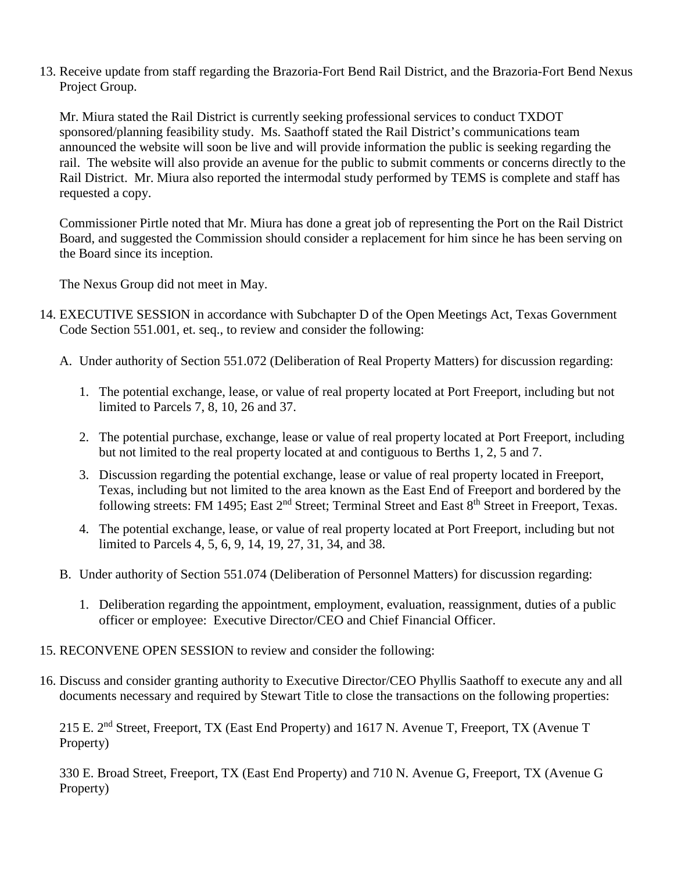13. Receive update from staff regarding the Brazoria-Fort Bend Rail District, and the Brazoria-Fort Bend Nexus Project Group.

Mr. Miura stated the Rail District is currently seeking professional services to conduct TXDOT sponsored/planning feasibility study. Ms. Saathoff stated the Rail District's communications team announced the website will soon be live and will provide information the public is seeking regarding the rail. The website will also provide an avenue for the public to submit comments or concerns directly to the Rail District. Mr. Miura also reported the intermodal study performed by TEMS is complete and staff has requested a copy.

Commissioner Pirtle noted that Mr. Miura has done a great job of representing the Port on the Rail District Board, and suggested the Commission should consider a replacement for him since he has been serving on the Board since its inception.

The Nexus Group did not meet in May.

- 14. EXECUTIVE SESSION in accordance with Subchapter D of the Open Meetings Act, Texas Government Code Section 551.001, et. seq., to review and consider the following:
	- A. Under authority of Section 551.072 (Deliberation of Real Property Matters) for discussion regarding:
		- 1. The potential exchange, lease, or value of real property located at Port Freeport, including but not limited to Parcels 7, 8, 10, 26 and 37.
		- 2. The potential purchase, exchange, lease or value of real property located at Port Freeport, including but not limited to the real property located at and contiguous to Berths 1, 2, 5 and 7.
		- 3. Discussion regarding the potential exchange, lease or value of real property located in Freeport, Texas, including but not limited to the area known as the East End of Freeport and bordered by the following streets: FM 1495; East 2<sup>nd</sup> Street; Terminal Street and East 8<sup>th</sup> Street in Freeport. Texas.
		- 4. The potential exchange, lease, or value of real property located at Port Freeport, including but not limited to Parcels 4, 5, 6, 9, 14, 19, 27, 31, 34, and 38.
	- B. Under authority of Section 551.074 (Deliberation of Personnel Matters) for discussion regarding:
		- 1. Deliberation regarding the appointment, employment, evaluation, reassignment, duties of a public officer or employee: Executive Director/CEO and Chief Financial Officer.
- 15. RECONVENE OPEN SESSION to review and consider the following:
- 16. Discuss and consider granting authority to Executive Director/CEO Phyllis Saathoff to execute any and all documents necessary and required by Stewart Title to close the transactions on the following properties:

215 E. 2nd Street, Freeport, TX (East End Property) and 1617 N. Avenue T, Freeport, TX (Avenue T Property)

330 E. Broad Street, Freeport, TX (East End Property) and 710 N. Avenue G, Freeport, TX (Avenue G Property)